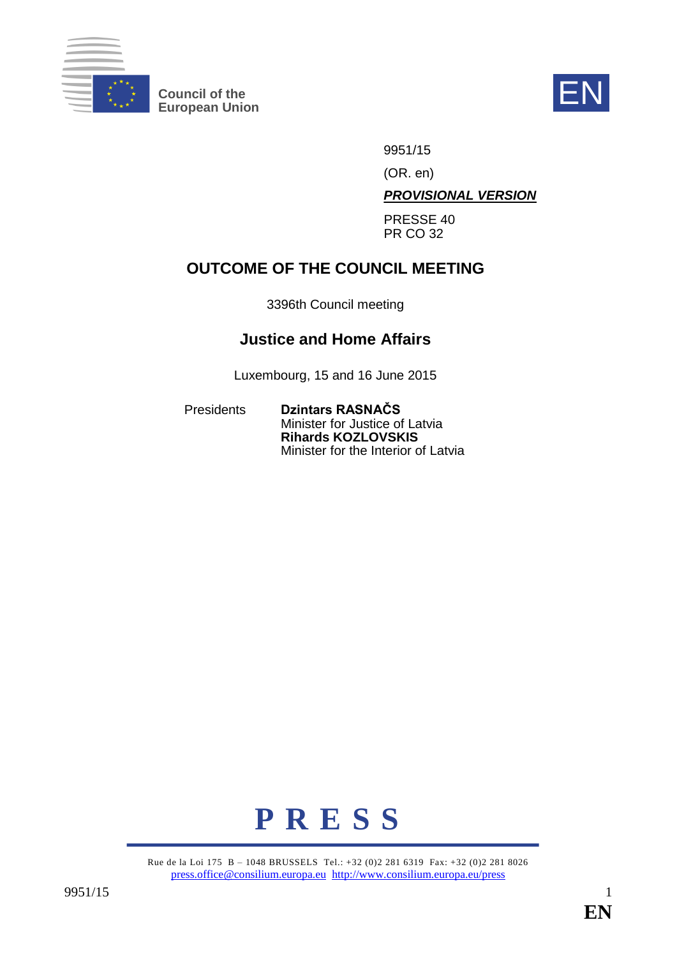

**Council of the EV**<br>
European Union



9951/15

(OR. en)

*PROVISIONAL VERSION*

PRESSE 40 PR CO 32

# **OUTCOME OF THE COUNCIL MEETING**

3396th Council meeting

# **Justice and Home Affairs**

Luxembourg, 15 and 16 June 2015

Presidents **Dzintars RASNAČS** Minister for Justice of Latvia **Rihards KOZLOVSKIS** Minister for the Interior of Latvia



Rue de la Loi 175 B – 1048 BRUSSELS Tel.: +32 (0)2 281 6319 Fax: +32 (0)2 281 8026 press.office@consilium.europa.eu http://www.consilium.europa.eu/press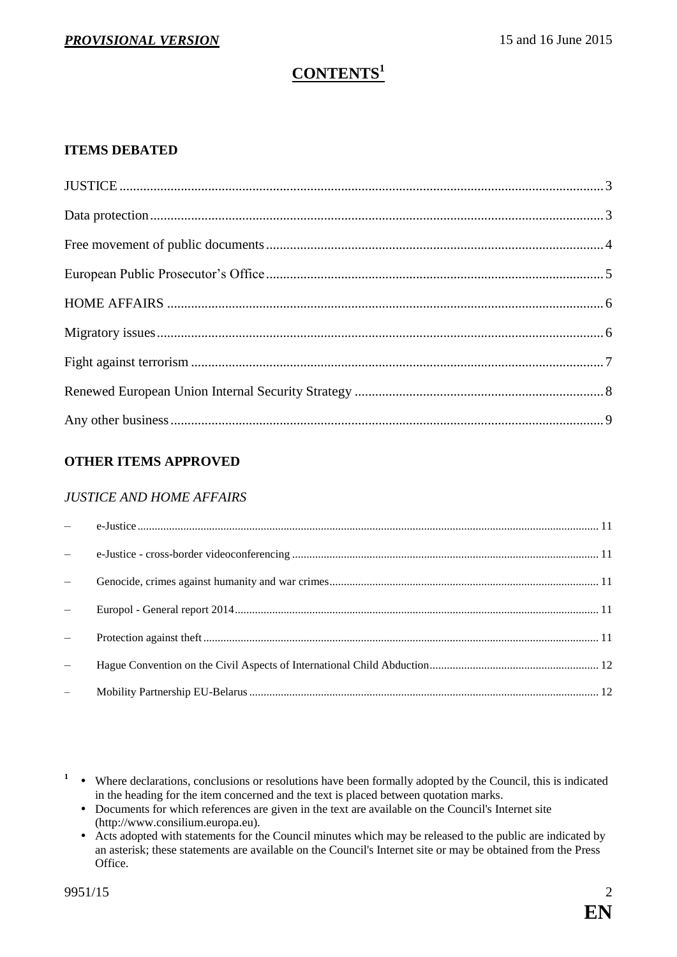# **CONTENTS<sup>1</sup>**

# **ITEMS DEBATED**

# **OTHER ITEMS APPROVED**

## *JUSTICE AND HOME AFFAIRS*

- <sup>1</sup> Where declarations, conclusions or resolutions have been formally adopted by the Council, this is indicated in the heading for the item concerned and the text is placed between quotation marks.
	- Documents for which references are given in the text are available on the Council's Internet site (http://www.consilium.europa.eu).
	- Acts adopted with statements for the Council minutes which may be released to the public are indicated by an asterisk; these statements are available on the Council's Internet site or may be obtained from the Press Office.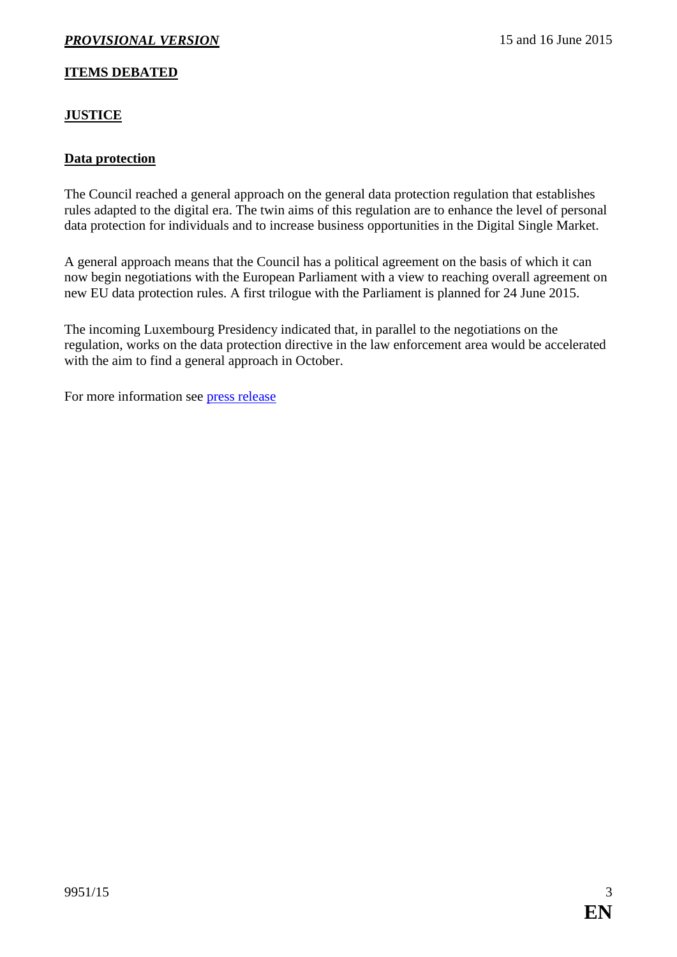## **ITEMS DEBATED**

# <span id="page-2-0"></span>**JUSTICE**

### <span id="page-2-1"></span>**Data protection**

The Council reached a general approach on the general data protection regulation that establishes rules adapted to the digital era. The twin aims of this regulation are to enhance the level of personal data protection for individuals and to increase business opportunities in the Digital Single Market.

A general approach means that the Council has a political agreement on the basis of which it can now begin negotiations with the European Parliament with a view to reaching overall agreement on new EU data protection rules. A first trilogue with the Parliament is planned for 24 June 2015.

The incoming Luxembourg Presidency indicated that, in parallel to the negotiations on the regulation, works on the data protection directive in the law enforcement area would be accelerated with the aim to find a general approach in October.

For more information see [press release](http://www.consilium.europa.eu/en/press/press-releases/2015/06/15-jha-data-protection/)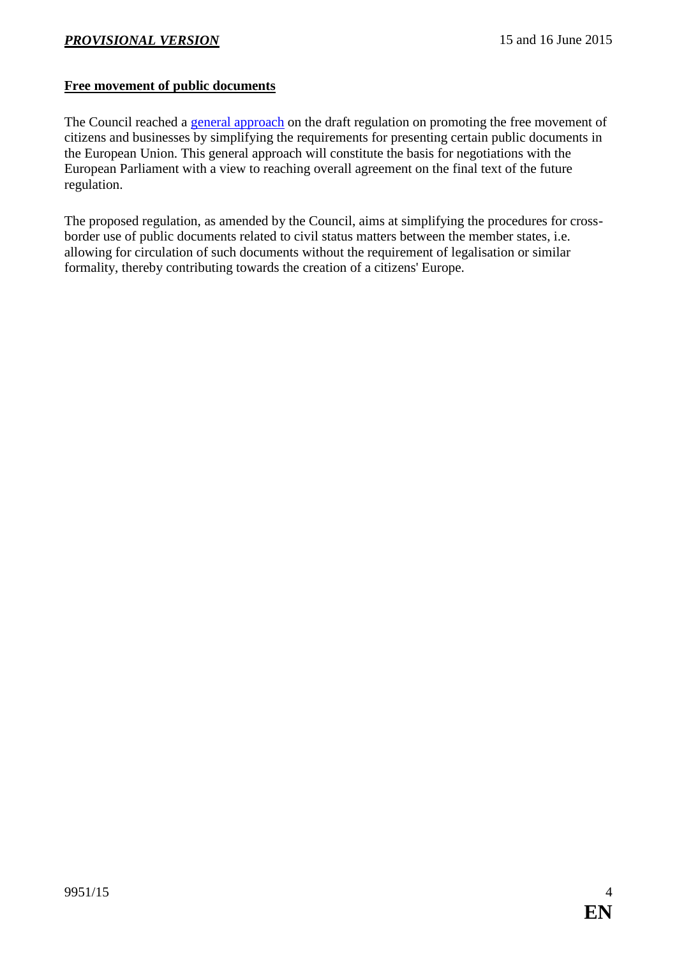# <span id="page-3-0"></span>**Free movement of public documents**

The Council reached a [general approach](http://www.consilium.europa.eu/register/en/content/out/?typ=SET&i=ADV&RESULTSET=1&DOC_ID=9332%2F15&DOS_INTERINST=&DOC_TITLE=&CONTENTS=&DOC_SUBJECT=&DOC_DATE=&document_date_single_comparator=&document_date_single_date=&document_date_from_date=&document_date_to_date=&MEET_DATE=&meeting_date_single_comparator=&meeting_date_single_date=&meeting_date_from_date=&meeting_date_to_date=&DOC_LANCD=EN&ROWSPP=25&NRROWS=500&ORDERBY=DOC_DATE+DESC) on the draft regulation on promoting the free movement of citizens and businesses by simplifying the requirements for presenting certain public documents in the European Union. This general approach will constitute the basis for negotiations with the European Parliament with a view to reaching overall agreement on the final text of the future regulation.

The proposed regulation, as amended by the Council, aims at simplifying the procedures for crossborder use of public documents related to civil status matters between the member states, i.e. allowing for circulation of such documents without the requirement of legalisation or similar formality, thereby contributing towards the creation of a citizens' Europe.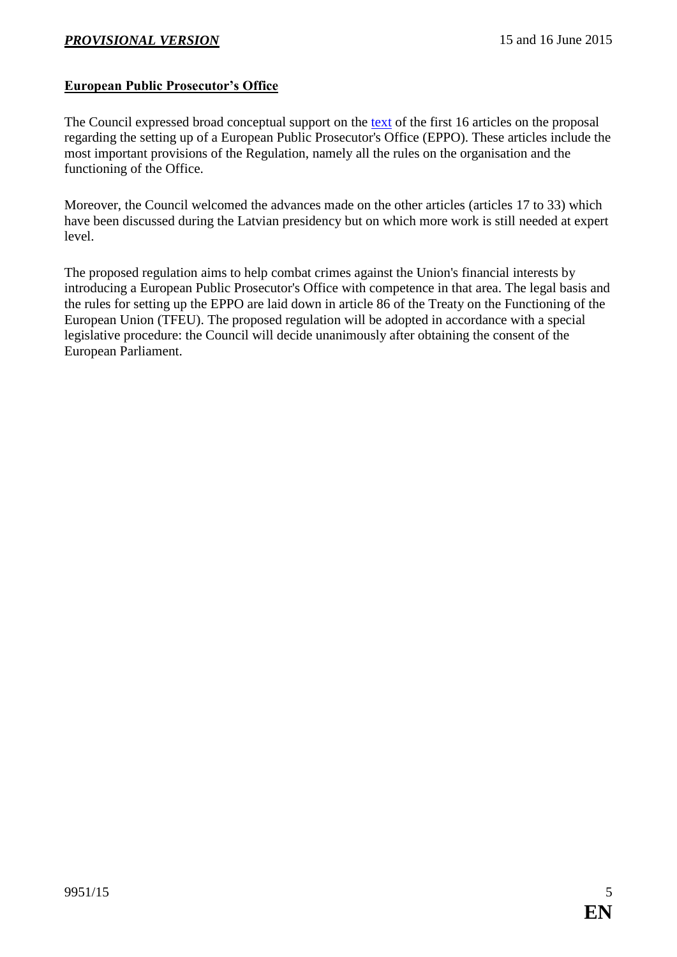## <span id="page-4-0"></span>**European Public Prosecutor's Office**

The Council expressed broad conceptual support on the [text](http://data.consilium.europa.eu/doc/document/ST-9372-2015-INIT/en/pdf) of the first 16 articles on the proposal regarding the setting up of a European Public Prosecutor's Office (EPPO). These articles include the most important provisions of the Regulation, namely all the rules on the organisation and the functioning of the Office.

Moreover, the Council welcomed the advances made on the other articles (articles 17 to 33) which have been discussed during the Latvian presidency but on which more work is still needed at expert level.

The proposed regulation aims to help combat crimes against the Union's financial interests by introducing a European Public Prosecutor's Office with competence in that area. The legal basis and the rules for setting up the EPPO are laid down in article 86 of the Treaty on the Functioning of the European Union (TFEU). The proposed regulation will be adopted in accordance with a special legislative procedure: the Council will decide unanimously after obtaining the consent of the European Parliament.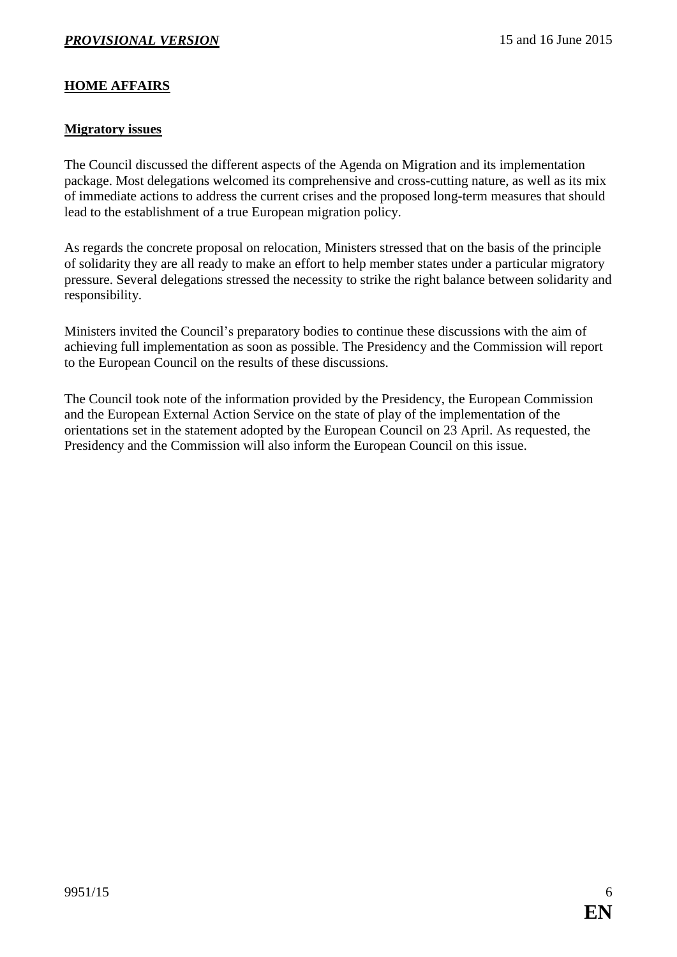# <span id="page-5-0"></span>**HOME AFFAIRS**

#### <span id="page-5-1"></span>**Migratory issues**

The Council discussed the different aspects of the Agenda on Migration and its implementation package. Most delegations welcomed its comprehensive and cross-cutting nature, as well as its mix of immediate actions to address the current crises and the proposed long-term measures that should lead to the establishment of a true European migration policy.

As regards the concrete proposal on relocation, Ministers stressed that on the basis of the principle of solidarity they are all ready to make an effort to help member states under a particular migratory pressure. Several delegations stressed the necessity to strike the right balance between solidarity and responsibility.

Ministers invited the Council's preparatory bodies to continue these discussions with the aim of achieving full implementation as soon as possible. The Presidency and the Commission will report to the European Council on the results of these discussions.

The Council took note of the information provided by the Presidency, the European Commission and the European External Action Service on the state of play of the implementation of the orientations set in the statement adopted by the European Council on 23 April. As requested, the Presidency and the Commission will also inform the European Council on this issue.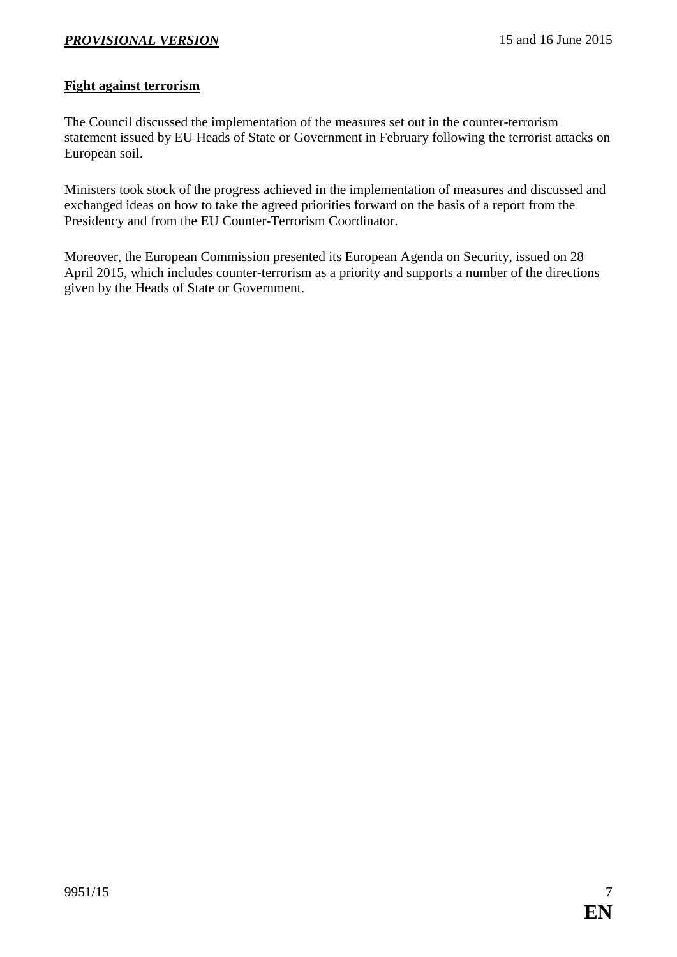### <span id="page-6-0"></span>**Fight against terrorism**

The Council discussed the implementation of the measures set out in the counter-terrorism statement issued by EU Heads of State or Government in February following the terrorist attacks on European soil.

Ministers took stock of the progress achieved in the implementation of measures and discussed and exchanged ideas on how to take the agreed priorities forward on the basis of a report from the Presidency and from the EU Counter-Terrorism Coordinator.

Moreover, the European Commission presented its European Agenda on Security, issued on 28 April 2015, which includes counter-terrorism as a priority and supports a number of the directions given by the Heads of State or Government.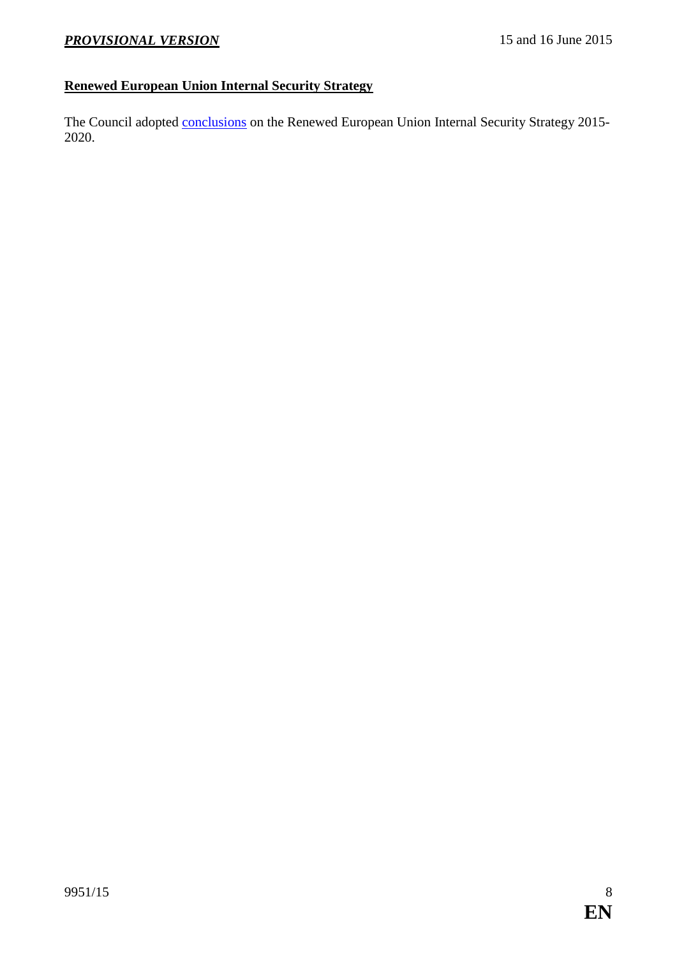# <span id="page-7-0"></span>**Renewed European Union Internal Security Strategy**

The Council adopted **conclusions** on the Renewed European Union Internal Security Strategy 2015-2020.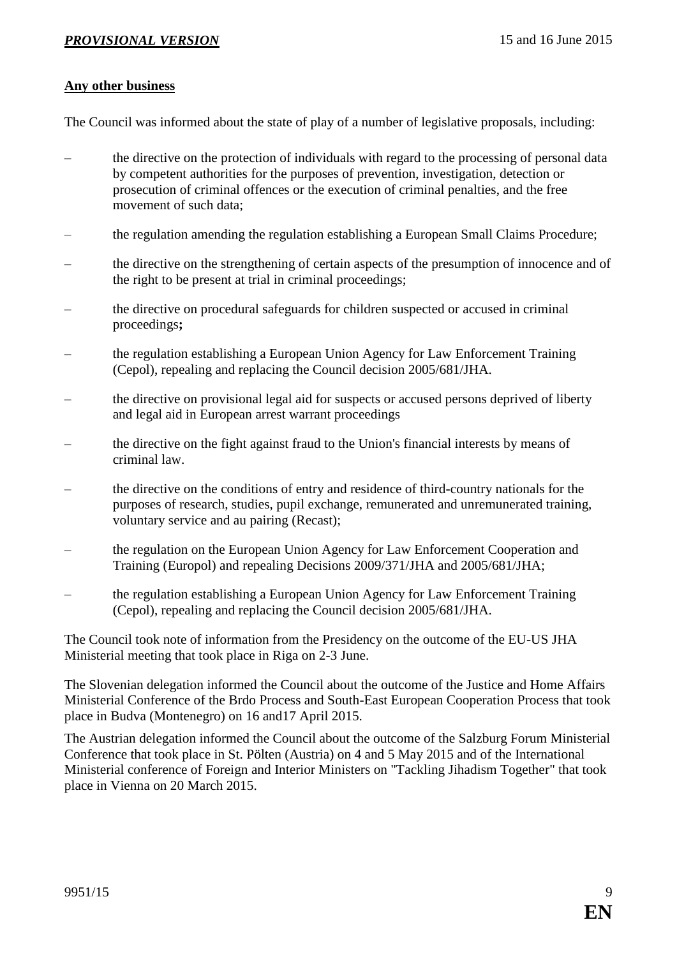#### <span id="page-8-0"></span>**Any other business**

The Council was informed about the state of play of a number of legislative proposals, including:

- the directive on the protection of individuals with regard to the processing of personal data by competent authorities for the purposes of prevention, investigation, detection or prosecution of criminal offences or the execution of criminal penalties, and the free movement of such data;
- the regulation amending the regulation establishing a European Small Claims Procedure;
- the directive on the strengthening of certain aspects of the presumption of innocence and of the right to be present at trial in criminal proceedings;
- the directive on procedural safeguards for children suspected or accused in criminal proceedings**;**
- the regulation establishing a European Union Agency for Law Enforcement Training (Cepol), repealing and replacing the Council decision 2005/681/JHA.
- the directive on provisional legal aid for suspects or accused persons deprived of liberty and legal aid in European arrest warrant proceedings
- the directive on the fight against fraud to the Union's financial interests by means of criminal law.
- the directive on the conditions of entry and residence of third-country nationals for the purposes of research, studies, pupil exchange, remunerated and unremunerated training, voluntary service and au pairing (Recast);
- the regulation on the European Union Agency for Law Enforcement Cooperation and Training (Europol) and repealing Decisions 2009/371/JHA and 2005/681/JHA;
- the regulation establishing a European Union Agency for Law Enforcement Training (Cepol), repealing and replacing the Council decision 2005/681/JHA.

The Council took note of information from the Presidency on the outcome of the EU-US JHA Ministerial meeting that took place in Riga on 2-3 June.

The Slovenian delegation informed the Council about the outcome of the Justice and Home Affairs Ministerial Conference of the Brdo Process and South-East European Cooperation Process that took place in Budva (Montenegro) on 16 and17 April 2015.

The Austrian delegation informed the Council about the outcome of the Salzburg Forum Ministerial Conference that took place in St. Pölten (Austria) on 4 and 5 May 2015 and of the International Ministerial conference of Foreign and Interior Ministers on "Tackling Jihadism Together" that took place in Vienna on 20 March 2015.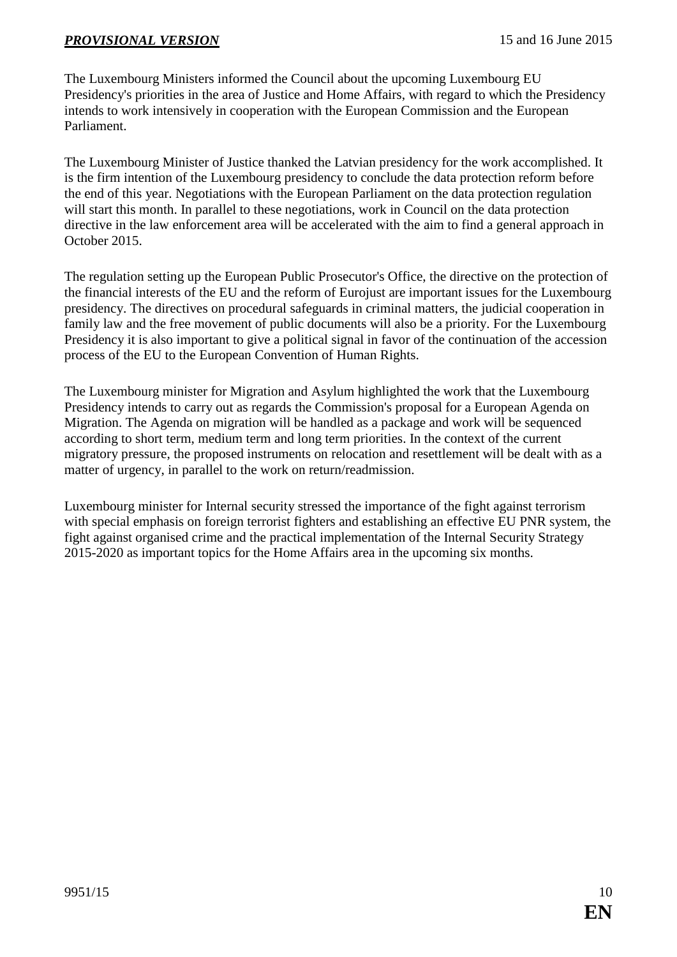The Luxembourg Ministers informed the Council about the upcoming Luxembourg EU Presidency's priorities in the area of Justice and Home Affairs, with regard to which the Presidency intends to work intensively in cooperation with the European Commission and the European Parliament.

The Luxembourg Minister of Justice thanked the Latvian presidency for the work accomplished. It is the firm intention of the Luxembourg presidency to conclude the data protection reform before the end of this year. Negotiations with the European Parliament on the data protection regulation will start this month. In parallel to these negotiations, work in Council on the data protection directive in the law enforcement area will be accelerated with the aim to find a general approach in October 2015.

The regulation setting up the European Public Prosecutor's Office, the directive on the protection of the financial interests of the EU and the reform of Eurojust are important issues for the Luxembourg presidency. The directives on procedural safeguards in criminal matters, the judicial cooperation in family law and the free movement of public documents will also be a priority. For the Luxembourg Presidency it is also important to give a political signal in favor of the continuation of the accession process of the EU to the European Convention of Human Rights.

The Luxembourg minister for Migration and Asylum highlighted the work that the Luxembourg Presidency intends to carry out as regards the Commission's proposal for a European Agenda on Migration. The Agenda on migration will be handled as a package and work will be sequenced according to short term, medium term and long term priorities. In the context of the current migratory pressure, the proposed instruments on relocation and resettlement will be dealt with as a matter of urgency, in parallel to the work on return/readmission.

Luxembourg minister for Internal security stressed the importance of the fight against terrorism with special emphasis on foreign terrorist fighters and establishing an effective EU PNR system, the fight against organised crime and the practical implementation of the Internal Security Strategy 2015-2020 as important topics for the Home Affairs area in the upcoming six months.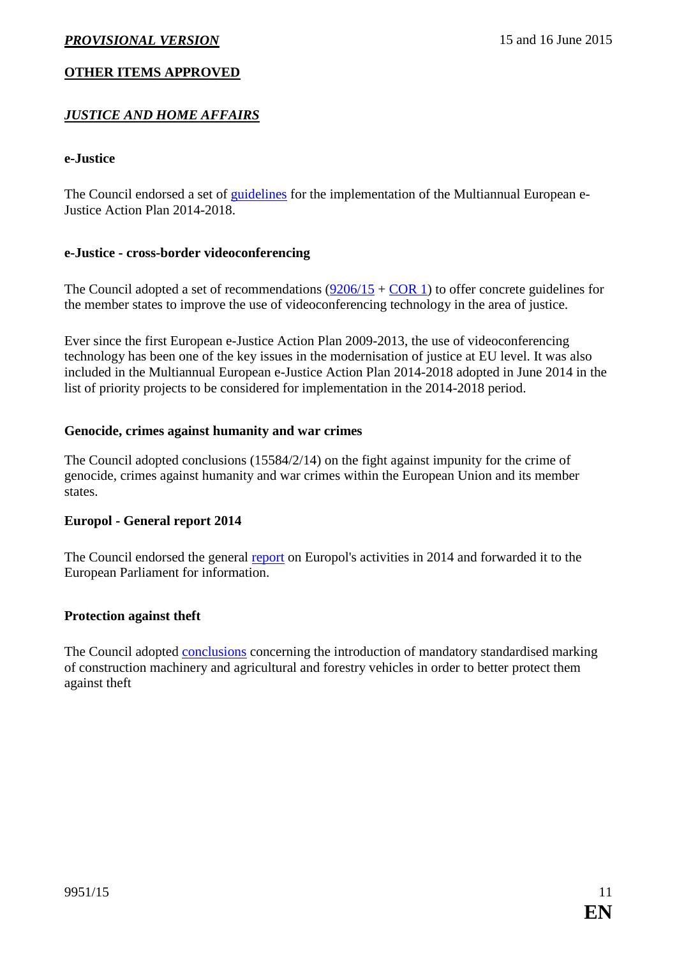# **OTHER ITEMS APPROVED**

# *JUSTICE AND HOME AFFAIRS*

#### <span id="page-10-0"></span>**e-Justice**

The Council endorsed a set of [guidelines](http://data.consilium.europa.eu/doc/document/ST-9331-2015-INIT/en/pdf) for the implementation of the Multiannual European e-Justice Action Plan 2014-2018.

#### <span id="page-10-1"></span>**e-Justice - cross-border videoconferencing**

The Council adopted a set of recommendations  $(9206/15 + \text{COR} 1)$  $(9206/15 + \text{COR} 1)$  to offer concrete guidelines for the member states to improve the use of videoconferencing technology in the area of justice.

Ever since the first European e-Justice Action Plan 2009-2013, the use of videoconferencing technology has been one of the key issues in the modernisation of justice at EU level. It was also included in the Multiannual European e-Justice Action Plan 2014-2018 adopted in June 2014 in the list of priority projects to be considered for implementation in the 2014-2018 period.

#### <span id="page-10-2"></span>**Genocide, crimes against humanity and war crimes**

The Council adopted conclusions (15584/2/14) on the fight against impunity for the crime of genocide, crimes against humanity and war crimes within the European Union and its member states.

#### <span id="page-10-3"></span>**Europol - General report 2014**

The Council endorsed the general [report](http://data.consilium.europa.eu/doc/document/ST-8082-2015-INIT/en/pdf) on Europol's activities in 2014 and forwarded it to the European Parliament for information.

## <span id="page-10-4"></span>**Protection against theft**

The Council adopted [conclusions](http://data.consilium.europa.eu/doc/document/ST-9665-2015-INIT/en/pdf) concerning the introduction of mandatory standardised marking of construction machinery and agricultural and forestry vehicles in order to better protect them against theft